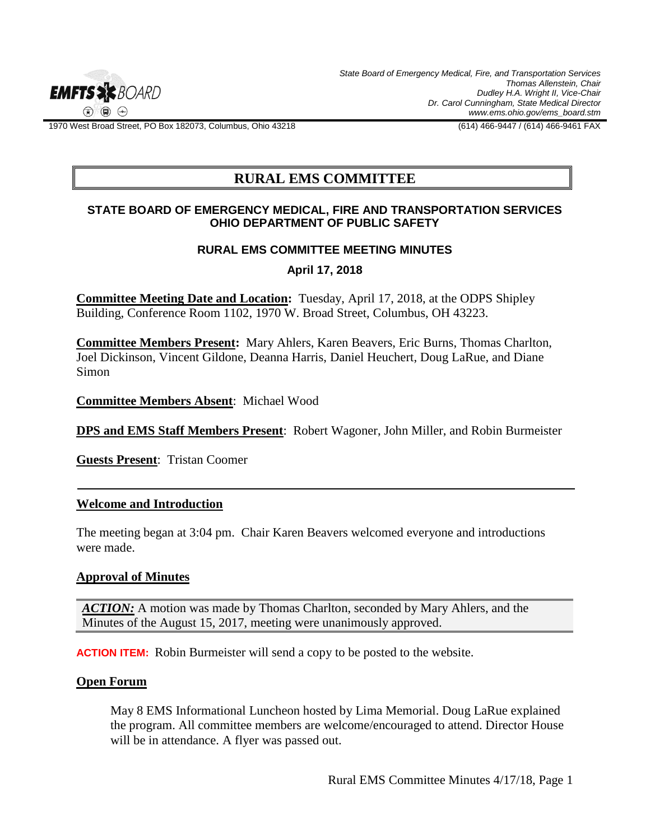

*State Board of Emergency Medical, Fire, and Transportation Services Thomas Allenstein, Chair Dudley H.A. Wright II, Vice-Chair Dr. Carol Cunningham, State Medical Director www.ems.ohio.gov/ems\_board.stm*

1970 West Broad Street, PO Box 182073, Columbus, Ohio 43218 (614) 466-9447 / (614) 466-9461 FAX

# **RURAL EMS COMMITTEE**

#### **STATE BOARD OF EMERGENCY MEDICAL, FIRE AND TRANSPORTATION SERVICES OHIO DEPARTMENT OF PUBLIC SAFETY**

#### **RURAL EMS COMMITTEE MEETING MINUTES**

**April 17, 2018**

**Committee Meeting Date and Location:** Tuesday, April 17, 2018, at the ODPS Shipley Building, Conference Room 1102, 1970 W. Broad Street, Columbus, OH 43223.

**Committee Members Present:** Mary Ahlers, Karen Beavers, Eric Burns, Thomas Charlton, Joel Dickinson, Vincent Gildone, Deanna Harris, Daniel Heuchert, Doug LaRue, and Diane Simon

**Committee Members Absent**: Michael Wood

**DPS and EMS Staff Members Present**: Robert Wagoner, John Miller, and Robin Burmeister

**Guests Present**: Tristan Coomer

## **Welcome and Introduction**

The meeting began at 3:04 pm. Chair Karen Beavers welcomed everyone and introductions were made.

#### **Approval of Minutes**

*ACTION:* A motion was made by Thomas Charlton, seconded by Mary Ahlers, and the Minutes of the August 15, 2017, meeting were unanimously approved.

**ACTION ITEM:**Robin Burmeister will send a copy to be posted to the website.

#### **Open Forum**

May 8 EMS Informational Luncheon hosted by Lima Memorial. Doug LaRue explained the program. All committee members are welcome/encouraged to attend. Director House will be in attendance. A flyer was passed out.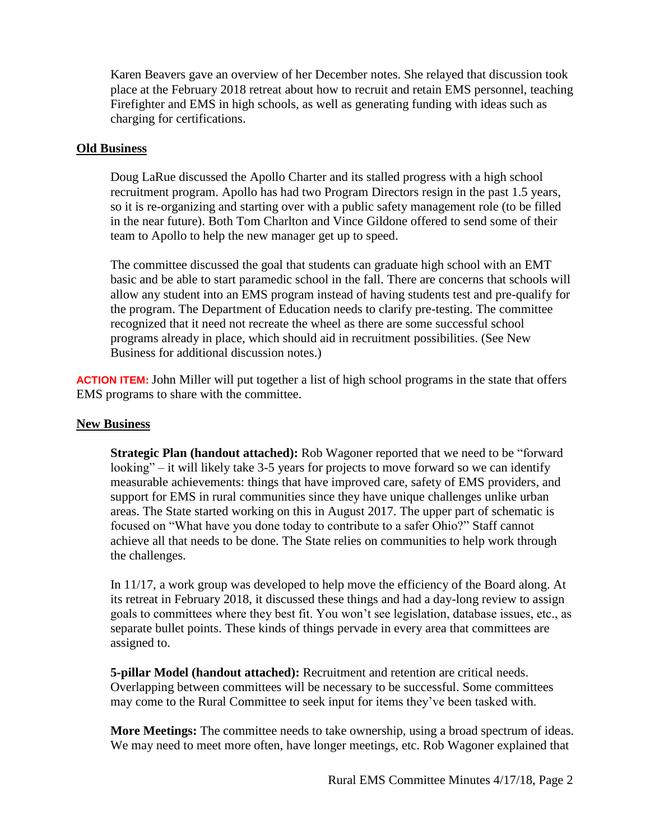Karen Beavers gave an overview of her December notes. She relayed that discussion took place at the February 2018 retreat about how to recruit and retain EMS personnel, teaching Firefighter and EMS in high schools, as well as generating funding with ideas such as charging for certifications.

## **Old Business**

Doug LaRue discussed the Apollo Charter and its stalled progress with a high school recruitment program. Apollo has had two Program Directors resign in the past 1.5 years, so it is re-organizing and starting over with a public safety management role (to be filled in the near future). Both Tom Charlton and Vince Gildone offered to send some of their team to Apollo to help the new manager get up to speed.

The committee discussed the goal that students can graduate high school with an EMT basic and be able to start paramedic school in the fall. There are concerns that schools will allow any student into an EMS program instead of having students test and pre-qualify for the program. The Department of Education needs to clarify pre-testing. The committee recognized that it need not recreate the wheel as there are some successful school programs already in place, which should aid in recruitment possibilities. (See New Business for additional discussion notes.)

**ACTION ITEM:** John Miller will put together a list of high school programs in the state that offers EMS programs to share with the committee.

## **New Business**

**Strategic Plan (handout attached):** Rob Wagoner reported that we need to be "forward looking" – it will likely take 3-5 years for projects to move forward so we can identify measurable achievements: things that have improved care, safety of EMS providers, and support for EMS in rural communities since they have unique challenges unlike urban areas. The State started working on this in August 2017. The upper part of schematic is focused on "What have you done today to contribute to a safer Ohio?" Staff cannot achieve all that needs to be done. The State relies on communities to help work through the challenges.

In 11/17, a work group was developed to help move the efficiency of the Board along. At its retreat in February 2018, it discussed these things and had a day-long review to assign goals to committees where they best fit. You won't see legislation, database issues, etc., as separate bullet points. These kinds of things pervade in every area that committees are assigned to.

**5-pillar Model (handout attached):** Recruitment and retention are critical needs. Overlapping between committees will be necessary to be successful. Some committees may come to the Rural Committee to seek input for items they've been tasked with.

**More Meetings:** The committee needs to take ownership, using a broad spectrum of ideas. We may need to meet more often, have longer meetings, etc. Rob Wagoner explained that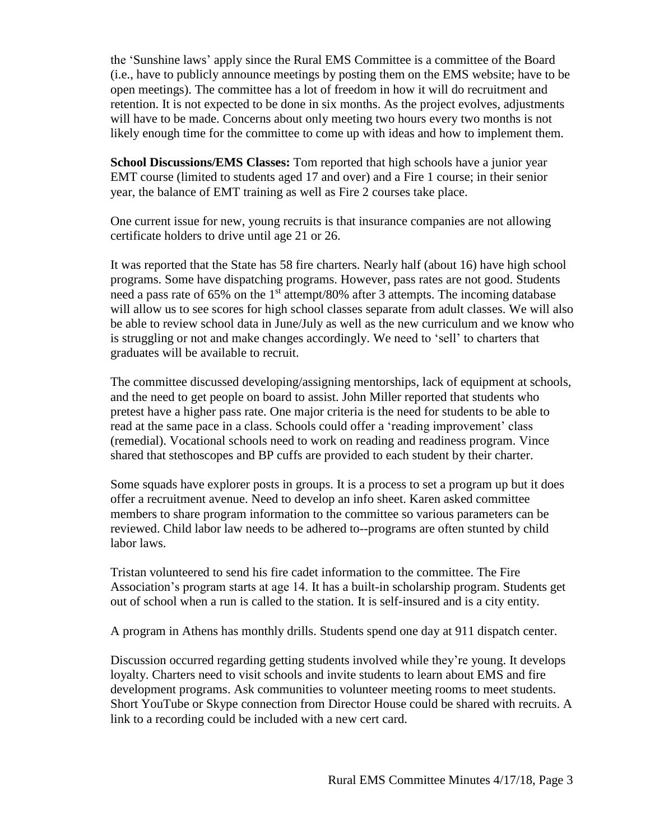the 'Sunshine laws' apply since the Rural EMS Committee is a committee of the Board (i.e., have to publicly announce meetings by posting them on the EMS website; have to be open meetings). The committee has a lot of freedom in how it will do recruitment and retention. It is not expected to be done in six months. As the project evolves, adjustments will have to be made. Concerns about only meeting two hours every two months is not likely enough time for the committee to come up with ideas and how to implement them.

**School Discussions/EMS Classes:** Tom reported that high schools have a junior year EMT course (limited to students aged 17 and over) and a Fire 1 course; in their senior year, the balance of EMT training as well as Fire 2 courses take place.

One current issue for new, young recruits is that insurance companies are not allowing certificate holders to drive until age 21 or 26.

It was reported that the State has 58 fire charters. Nearly half (about 16) have high school programs. Some have dispatching programs. However, pass rates are not good. Students need a pass rate of 65% on the  $1<sup>st</sup>$  attempt/80% after 3 attempts. The incoming database will allow us to see scores for high school classes separate from adult classes. We will also be able to review school data in June/July as well as the new curriculum and we know who is struggling or not and make changes accordingly. We need to 'sell' to charters that graduates will be available to recruit.

The committee discussed developing/assigning mentorships, lack of equipment at schools, and the need to get people on board to assist. John Miller reported that students who pretest have a higher pass rate. One major criteria is the need for students to be able to read at the same pace in a class. Schools could offer a 'reading improvement' class (remedial). Vocational schools need to work on reading and readiness program. Vince shared that stethoscopes and BP cuffs are provided to each student by their charter.

Some squads have explorer posts in groups. It is a process to set a program up but it does offer a recruitment avenue. Need to develop an info sheet. Karen asked committee members to share program information to the committee so various parameters can be reviewed. Child labor law needs to be adhered to--programs are often stunted by child labor laws.

Tristan volunteered to send his fire cadet information to the committee. The Fire Association's program starts at age 14. It has a built-in scholarship program. Students get out of school when a run is called to the station. It is self-insured and is a city entity.

A program in Athens has monthly drills. Students spend one day at 911 dispatch center.

Discussion occurred regarding getting students involved while they're young. It develops loyalty. Charters need to visit schools and invite students to learn about EMS and fire development programs. Ask communities to volunteer meeting rooms to meet students. Short YouTube or Skype connection from Director House could be shared with recruits. A link to a recording could be included with a new cert card.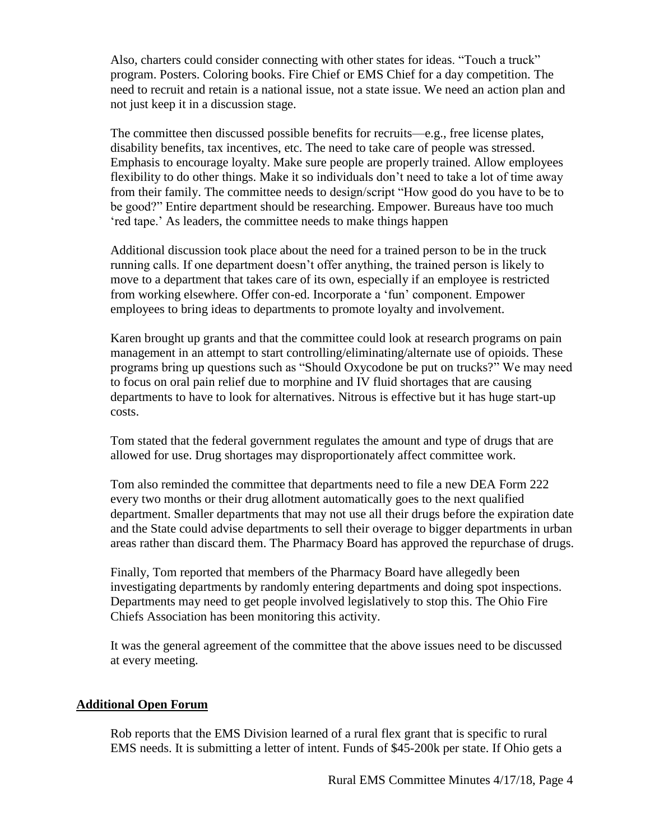Also, charters could consider connecting with other states for ideas. "Touch a truck" program. Posters. Coloring books. Fire Chief or EMS Chief for a day competition. The need to recruit and retain is a national issue, not a state issue. We need an action plan and not just keep it in a discussion stage.

The committee then discussed possible benefits for recruits—e.g., free license plates, disability benefits, tax incentives, etc. The need to take care of people was stressed. Emphasis to encourage loyalty. Make sure people are properly trained. Allow employees flexibility to do other things. Make it so individuals don't need to take a lot of time away from their family. The committee needs to design/script "How good do you have to be to be good?" Entire department should be researching. Empower. Bureaus have too much 'red tape.' As leaders, the committee needs to make things happen

Additional discussion took place about the need for a trained person to be in the truck running calls. If one department doesn't offer anything, the trained person is likely to move to a department that takes care of its own, especially if an employee is restricted from working elsewhere. Offer con-ed. Incorporate a 'fun' component. Empower employees to bring ideas to departments to promote loyalty and involvement.

Karen brought up grants and that the committee could look at research programs on pain management in an attempt to start controlling/eliminating/alternate use of opioids. These programs bring up questions such as "Should Oxycodone be put on trucks?" We may need to focus on oral pain relief due to morphine and IV fluid shortages that are causing departments to have to look for alternatives. Nitrous is effective but it has huge start-up costs.

Tom stated that the federal government regulates the amount and type of drugs that are allowed for use. Drug shortages may disproportionately affect committee work.

Tom also reminded the committee that departments need to file a new DEA Form 222 every two months or their drug allotment automatically goes to the next qualified department. Smaller departments that may not use all their drugs before the expiration date and the State could advise departments to sell their overage to bigger departments in urban areas rather than discard them. The Pharmacy Board has approved the repurchase of drugs.

Finally, Tom reported that members of the Pharmacy Board have allegedly been investigating departments by randomly entering departments and doing spot inspections. Departments may need to get people involved legislatively to stop this. The Ohio Fire Chiefs Association has been monitoring this activity.

It was the general agreement of the committee that the above issues need to be discussed at every meeting.

## **Additional Open Forum**

Rob reports that the EMS Division learned of a rural flex grant that is specific to rural EMS needs. It is submitting a letter of intent. Funds of \$45-200k per state. If Ohio gets a